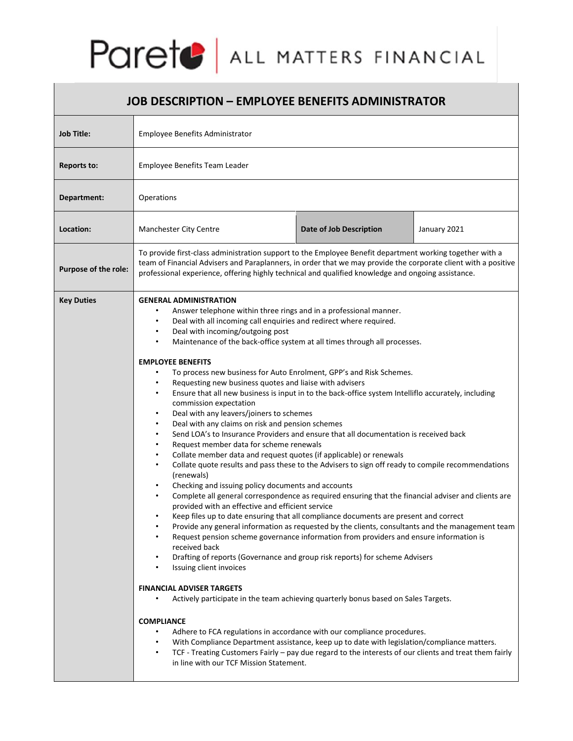

| <b>JOB DESCRIPTION - EMPLOYEE BENEFITS ADMINISTRATOR</b> |                                                                                                                                                                                                                                                                                                                                                                                                                                                                                                                                                                                                                                                                                                                                                                                                                                                                                                                                                                                                                                                                                                                                                                                                                                                                                                                                                                                                                                                                                                                                                                                                                                                                                                                                                                                                                                                                                                                                                                                                                                                                                                                                                                                                                                                                                                  |  |
|----------------------------------------------------------|--------------------------------------------------------------------------------------------------------------------------------------------------------------------------------------------------------------------------------------------------------------------------------------------------------------------------------------------------------------------------------------------------------------------------------------------------------------------------------------------------------------------------------------------------------------------------------------------------------------------------------------------------------------------------------------------------------------------------------------------------------------------------------------------------------------------------------------------------------------------------------------------------------------------------------------------------------------------------------------------------------------------------------------------------------------------------------------------------------------------------------------------------------------------------------------------------------------------------------------------------------------------------------------------------------------------------------------------------------------------------------------------------------------------------------------------------------------------------------------------------------------------------------------------------------------------------------------------------------------------------------------------------------------------------------------------------------------------------------------------------------------------------------------------------------------------------------------------------------------------------------------------------------------------------------------------------------------------------------------------------------------------------------------------------------------------------------------------------------------------------------------------------------------------------------------------------------------------------------------------------------------------------------------------------|--|
| <b>Job Title:</b>                                        | Employee Benefits Administrator                                                                                                                                                                                                                                                                                                                                                                                                                                                                                                                                                                                                                                                                                                                                                                                                                                                                                                                                                                                                                                                                                                                                                                                                                                                                                                                                                                                                                                                                                                                                                                                                                                                                                                                                                                                                                                                                                                                                                                                                                                                                                                                                                                                                                                                                  |  |
| Reports to:                                              | Employee Benefits Team Leader                                                                                                                                                                                                                                                                                                                                                                                                                                                                                                                                                                                                                                                                                                                                                                                                                                                                                                                                                                                                                                                                                                                                                                                                                                                                                                                                                                                                                                                                                                                                                                                                                                                                                                                                                                                                                                                                                                                                                                                                                                                                                                                                                                                                                                                                    |  |
| Department:                                              | Operations                                                                                                                                                                                                                                                                                                                                                                                                                                                                                                                                                                                                                                                                                                                                                                                                                                                                                                                                                                                                                                                                                                                                                                                                                                                                                                                                                                                                                                                                                                                                                                                                                                                                                                                                                                                                                                                                                                                                                                                                                                                                                                                                                                                                                                                                                       |  |
| Location:                                                | Date of Job Description<br>January 2021<br>Manchester City Centre                                                                                                                                                                                                                                                                                                                                                                                                                                                                                                                                                                                                                                                                                                                                                                                                                                                                                                                                                                                                                                                                                                                                                                                                                                                                                                                                                                                                                                                                                                                                                                                                                                                                                                                                                                                                                                                                                                                                                                                                                                                                                                                                                                                                                                |  |
| <b>Purpose of the role:</b>                              | To provide first-class administration support to the Employee Benefit department working together with a<br>team of Financial Advisers and Paraplanners, in order that we may provide the corporate client with a positive<br>professional experience, offering highly technical and qualified knowledge and ongoing assistance.                                                                                                                                                                                                                                                                                                                                                                                                                                                                                                                                                                                                                                                                                                                                                                                                                                                                                                                                                                                                                                                                                                                                                                                                                                                                                                                                                                                                                                                                                                                                                                                                                                                                                                                                                                                                                                                                                                                                                                 |  |
| <b>Key Duties</b>                                        | <b>GENERAL ADMINISTRATION</b><br>Answer telephone within three rings and in a professional manner.<br>Deal with all incoming call enquiries and redirect where required.<br>Deal with incoming/outgoing post<br>$\bullet$<br>Maintenance of the back-office system at all times through all processes.<br>$\bullet$<br><b>EMPLOYEE BENEFITS</b><br>To process new business for Auto Enrolment, GPP's and Risk Schemes.<br>Requesting new business quotes and liaise with advisers<br>$\bullet$<br>Ensure that all new business is input in to the back-office system Intelliflo accurately, including<br>$\bullet$<br>commission expectation<br>Deal with any leavers/joiners to schemes<br>$\bullet$<br>Deal with any claims on risk and pension schemes<br>$\bullet$<br>Send LOA's to Insurance Providers and ensure that all documentation is received back<br>Request member data for scheme renewals<br>$\bullet$<br>Collate member data and request quotes (if applicable) or renewals<br>$\bullet$<br>Collate quote results and pass these to the Advisers to sign off ready to compile recommendations<br>$\bullet$<br>(renewals)<br>Checking and issuing policy documents and accounts<br>Complete all general correspondence as required ensuring that the financial adviser and clients are<br>provided with an effective and efficient service<br>Keep files up to date ensuring that all compliance documents are present and correct<br>Provide any general information as requested by the clients, consultants and the management team<br>Request pension scheme governance information from providers and ensure information is<br>received back<br>Drafting of reports (Governance and group risk reports) for scheme Advisers<br>Issuing client invoices<br>$\bullet$<br><b>FINANCIAL ADVISER TARGETS</b><br>Actively participate in the team achieving quarterly bonus based on Sales Targets.<br><b>COMPLIANCE</b><br>Adhere to FCA regulations in accordance with our compliance procedures.<br>$\bullet$<br>With Compliance Department assistance, keep up to date with legislation/compliance matters.<br>TCF - Treating Customers Fairly - pay due regard to the interests of our clients and treat them fairly<br>$\bullet$<br>in line with our TCF Mission Statement. |  |